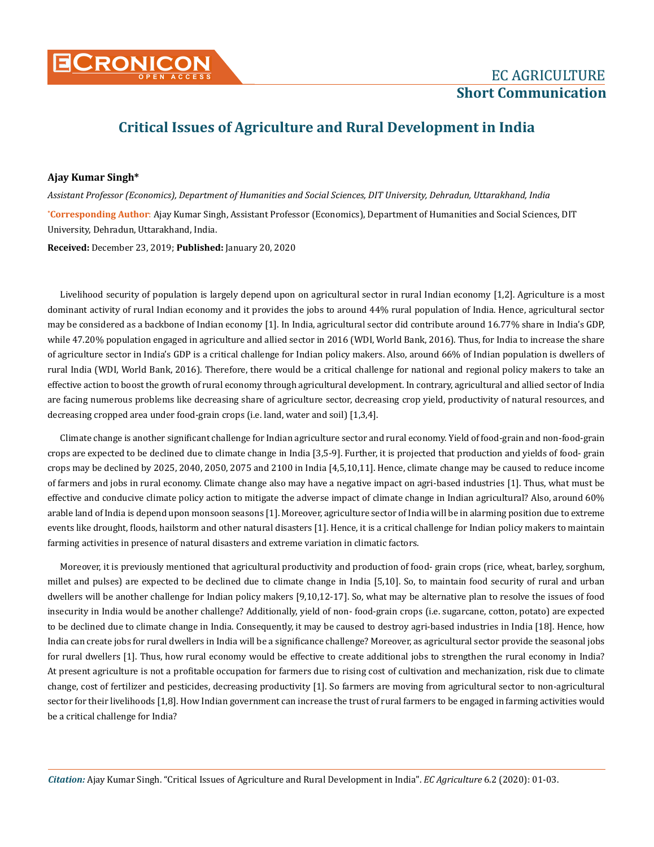

## **Critical Issues of Agriculture and Rural Development in India**

## **Ajay Kumar Singh\***

**\* Corresponding Author**: Ajay Kumar Singh, Assistant Professor (Economics), Department of Humanities and Social Sciences, DIT University, Dehradun, Uttarakhand, India. *Assistant Professor (Economics), Department of Humanities and Social Sciences, DIT University, Dehradun, Uttarakhand, India*

**Received:** December 23, 2019; **Published:** January 20, 2020

Livelihood security of population is largely depend upon on agricultural sector in rural Indian economy [1,2]. Agriculture is a most dominant activity of rural Indian economy and it provides the jobs to around 44% rural population of India. Hence, agricultural sector may be considered as a backbone of Indian economy [1]. In India, agricultural sector did contribute around 16.77% share in India's GDP, while 47.20% population engaged in agriculture and allied sector in 2016 (WDI, World Bank, 2016). Thus, for India to increase the share of agriculture sector in India's GDP is a critical challenge for Indian policy makers. Also, around 66% of Indian population is dwellers of rural India (WDI, World Bank, 2016). Therefore, there would be a critical challenge for national and regional policy makers to take an effective action to boost the growth of rural economy through agricultural development. In contrary, agricultural and allied sector of India are facing numerous problems like decreasing share of agriculture sector, decreasing crop yield, productivity of natural resources, and decreasing cropped area under food-grain crops (i.e. land, water and soil) [1,3,4].

Climate change is another significant challenge for Indian agriculture sector and rural economy. Yield of food-grain and non-food-grain crops are expected to be declined due to climate change in India [3,5-9]. Further, it is projected that production and yields of food- grain crops may be declined by 2025, 2040, 2050, 2075 and 2100 in India [4,5,10,11]. Hence, climate change may be caused to reduce income of farmers and jobs in rural economy. Climate change also may have a negative impact on agri-based industries [1]. Thus, what must be effective and conducive climate policy action to mitigate the adverse impact of climate change in Indian agricultural? Also, around 60% arable land of India is depend upon monsoon seasons [1]. Moreover, agriculture sector of India will be in alarming position due to extreme events like drought, floods, hailstorm and other natural disasters [1]. Hence, it is a critical challenge for Indian policy makers to maintain farming activities in presence of natural disasters and extreme variation in climatic factors.

Moreover, it is previously mentioned that agricultural productivity and production of food- grain crops (rice, wheat, barley, sorghum, millet and pulses) are expected to be declined due to climate change in India [5,10]. So, to maintain food security of rural and urban dwellers will be another challenge for Indian policy makers [9,10,12-17]. So, what may be alternative plan to resolve the issues of food insecurity in India would be another challenge? Additionally, yield of non- food-grain crops (i.e. sugarcane, cotton, potato) are expected to be declined due to climate change in India. Consequently, it may be caused to destroy agri-based industries in India [18]. Hence, how India can create jobs for rural dwellers in India will be a significance challenge? Moreover, as agricultural sector provide the seasonal jobs for rural dwellers [1]. Thus, how rural economy would be effective to create additional jobs to strengthen the rural economy in India? At present agriculture is not a profitable occupation for farmers due to rising cost of cultivation and mechanization, risk due to climate change, cost of fertilizer and pesticides, decreasing productivity [1]. So farmers are moving from agricultural sector to non-agricultural sector for their livelihoods [1,8]. How Indian government can increase the trust of rural farmers to be engaged in farming activities would be a critical challenge for India?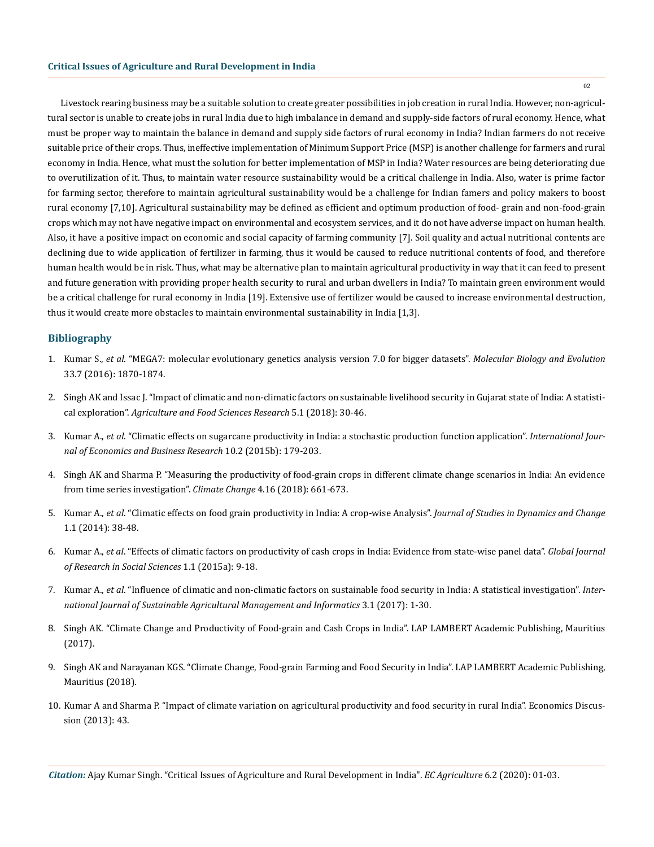Livestock rearing business may be a suitable solution to create greater possibilities in job creation in rural India. However, non-agricultural sector is unable to create jobs in rural India due to high imbalance in demand and supply-side factors of rural economy. Hence, what must be proper way to maintain the balance in demand and supply side factors of rural economy in India? Indian farmers do not receive suitable price of their crops. Thus, ineffective implementation of Minimum Support Price (MSP) is another challenge for farmers and rural economy in India. Hence, what must the solution for better implementation of MSP in India? Water resources are being deteriorating due to overutilization of it. Thus, to maintain water resource sustainability would be a critical challenge in India. Also, water is prime factor for farming sector, therefore to maintain agricultural sustainability would be a challenge for Indian famers and policy makers to boost rural economy [7,10]. Agricultural sustainability may be defined as efficient and optimum production of food- grain and non-food-grain crops which may not have negative impact on environmental and ecosystem services, and it do not have adverse impact on human health. Also, it have a positive impact on economic and social capacity of farming community [7]. Soil quality and actual nutritional contents are declining due to wide application of fertilizer in farming, thus it would be caused to reduce nutritional contents of food, and therefore human health would be in risk. Thus, what may be alternative plan to maintain agricultural productivity in way that it can feed to present and future generation with providing proper health security to rural and urban dwellers in India? To maintain green environment would be a critical challenge for rural economy in India [19]. Extensive use of fertilizer would be caused to increase environmental destruction, thus it would create more obstacles to maintain environmental sustainability in India [1,3].

## **Bibliography**

- 1. Kumar S., *et al*[. "MEGA7: molecular evolutionary genetics analysis version 7.0 for bigger datasets".](https://www.ncbi.nlm.nih.gov/pubmed/27004904) *Molecular Biology and Evolution*  [33.7 \(2016\): 1870-1874.](https://www.ncbi.nlm.nih.gov/pubmed/27004904)
- 2. [Singh AK and Issac J. "Impact of climatic and non-climatic factors on sustainable livelihood security in Gujarat state of India: A statisti](https://ideas.repec.org/a/aoj/agafsr/2018p30-46.html)cal exploration". *[Agriculture and Food Sciences Research](https://ideas.repec.org/a/aoj/agafsr/2018p30-46.html)* 5.1 (2018): 30-46.
- 3. Kumar A., *et al*[. "Climatic effects on sugarcane productivity in India: a stochastic production function application".](https://econpapers.repec.org/article/idsijecbr/v_3a10_3ay_3a2015_3ai_3a2_3ap_3a179-203.htm) *International Jour[nal of Economics and Business Research](https://econpapers.repec.org/article/idsijecbr/v_3a10_3ay_3a2015_3ai_3a2_3ap_3a179-203.htm)* 10.2 (2015b): 179-203.
- 4. [Singh AK and Sharma P. "Measuring the productivity of food-grain crops in different climate change scenarios in India: An evidence](https://www.academia.edu/38724329/ARTICLE_Measuring_the_productivity_of_food-grain_crops_in_different_climate_change_scenarios_in_India_An_evidence_from_time_series_investigation) [from time series investigation".](https://www.academia.edu/38724329/ARTICLE_Measuring_the_productivity_of_food-grain_crops_in_different_climate_change_scenarios_in_India_An_evidence_from_time_series_investigation) *Climate Change* 4.16 (2018): 661-673.
- 5. Kumar A., *et al*[. "Climatic effects on food grain productivity in India: A crop-wise Analysis".](https://ideas.repec.org/a/sdc/journl/v1y2014i1p38-48.html) *Journal of Studies in Dynamics and Change* [1.1 \(2014\): 38-48.](https://ideas.repec.org/a/sdc/journl/v1y2014i1p38-48.html)
- 6. Kumar A., *et al*[. "Effects of climatic factors on productivity of cash crops in India: Evidence from state-wise panel data".](http://www.gpcpublishing.org/index.php/gjrss/article/download/72/pdf_1) *Global Journal [of Research in Social Sciences](http://www.gpcpublishing.org/index.php/gjrss/article/download/72/pdf_1)* 1.1 (2015a): 9-18.
- 7. Kumar A., *et al*[. "Influence of climatic and non-climatic factors on sustainable food security in India: A statistical investigation".](https://www.researchgate.net/publication/311806560_Influence_of_climatic_and_non-climatic_factors_on_sustainable_food_security_in_India_a_statistical_investigation) *Inter[national Journal of Sustainable Agricultural Management and Informatics](https://www.researchgate.net/publication/311806560_Influence_of_climatic_and_non-climatic_factors_on_sustainable_food_security_in_India_a_statistical_investigation)* 3.1 (2017): 1-30.
- 8. Singh AK. "Climate Change and Productivity of Food-grain and Cash Crops in India". LAP LAMBERT Academic Publishing, Mauritius (2017).
- 9. Singh AK and Narayanan KGS. "Climate Change, Food-grain Farming and Food Security in India". LAP LAMBERT Academic Publishing, Mauritius (2018).
- 10. [Kumar A and Sharma P. "Impact of climate variation on agricultural productivity and food security in rural India". Economics Discus](http://www.economics-ejournal.org/economics/discussionpapers/2013-43)[sion \(2013\): 43.](http://www.economics-ejournal.org/economics/discussionpapers/2013-43)

*Citation:* Ajay Kumar Singh. "Critical Issues of Agriculture and Rural Development in India". *EC Agriculture* 6.2 (2020): 01-03.

02